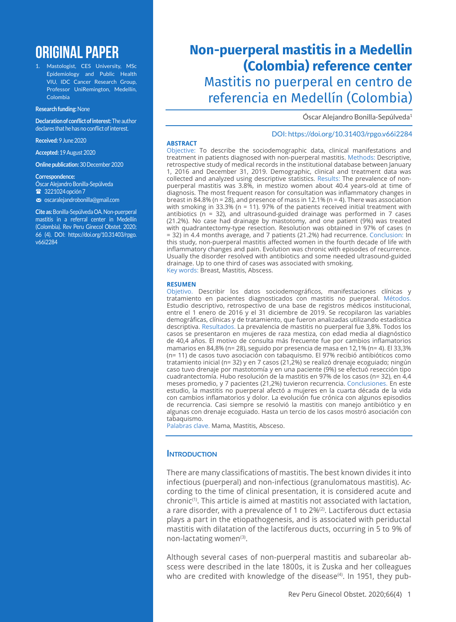# **ORIGINAL PAPER**

1. Mastologist, CES University, MSc Epidemiology and Public Health VIU, IDC Cancer Research Group, Professor UniRemington, Medellín, Colombia

#### **Research funding:** None

**Declaration of conflict of interest:** The author declares that he has no conflict of interest.

**Received:** 9June 2020

**Accepted:** 19 August 2020

**Online publication:** 30 December 2020

#### **Correspondence:**

Óscar Alejandro Bonilla-Sepúlveda

233221024 opción 7

m oscaralejandrobonilla@gmail.com

**Cite as:** Bonilla-Sepúlveda OA. Non-puerperal mastitis in a referral center in Medellín (Colombia). Rev Peru Ginecol Obstet. 2020; 66 (4). DOI: https://doi.org/10.31403/rpgo. v66i2284

## **Non-puerperal mastitis in a Medellin (Colombia) reference center** Mastitis no puerperal en centro de referencia en Medellín (Colombia)

Óscar Alejandro Bonilla-Sepúlveda<sup>1</sup>

DOI: https://doi.org/10.31403/rpgo.v66i2284

### **ABSTRACT**

Objective: To describe the sociodemographic data, clinical manifestations and treatment in patients diagnosed with non-puerperal mastitis. Methods: Descriptive, retrospective study of medical records in the institutional database between January 1, 2016 and December 31, 2019. Demographic, clinical and treatment data was collected and analyzed using descriptive statistics. Results: The prevalence of nonpuerperal mastitis was 3.8%, in mestizo women about 40.4 years-old at time of diagnosis. The most frequent reason for consultation was inflammatory changes in breast in 84.8% (n = 28), and presence of mass in 12.1% (n = 4). There was association with smoking in 33.3% ( $n = 11$ ). 97% of the patients received initial treatment with antibiotics ( $n = 32$ ), and ultrasound-guided drainage was performed in 7 cases (21.2%). No case had drainage by mastotomy, and one patient (9%) was treated with quadrantectomy-type resection. Resolution was obtained in 97% of cases (n = 32) in 4.4 months average, and 7 patients (21.2%) had recurrence. Conclusion: In this study, non-puerperal mastitis affected women in the fourth decade of life with inflammatory changes and pain. Evolution was chronic with episodes of recurrence. Usually the disorder resolved with antibiotics and some needed ultrasound-guided drainage. Up to one third of cases was associated with smoking. Key words: Breast, Mastitis, Abscess.

#### **RESUMEN**

Objetivo. Describir los datos sociodemográficos, manifestaciones clínicas y tratamiento en pacientes diagnosticados con mastitis no puerperal. Métodos. Estudio descriptivo, retrospectivo de una base de registros médicos institucional, entre el 1 enero de 2016 y el 31 diciembre de 2019. Se recopilaron las variables demográficas, clínicas y de tratamiento, que fueron analizadas utilizando estadística descriptiva. Resultados. La prevalencia de mastitis no puerperal fue 3,8%. Todos los casos se presentaron en mujeres de raza mestiza, con edad media al diagnóstico de 40,4 años. El motivo de consulta más frecuente fue por cambios inflamatorios mamarios en 84,8% (n= 28), seguido por presencia de masa en 12,1% (n= 4). El 33,3% (n= 11) de casos tuvo asociación con tabaquismo. El 97% recibió antibióticos como tratamiento inicial (n= 32) y en 7 casos (21,2%) se realizó drenaje ecoguiado; ningún caso tuvo drenaje por mastotomía y en una paciente (9%) se efectuó resección tipo cuadrantectomía. Hubo resolución de la mastitis en 97% de los casos (n= 32), en 4,4 meses promedio, y 7 pacientes (21,2%) tuvieron recurrencia. Conclusiones. En este estudio, la mastitis no puerperal afectó a mujeres en la cuarta década de la vida con cambios inflamatorios y dolor. La evolución fue crónica con algunos episodios de recurrencia. Casi siempre se resolvió la mastitis con manejo antibiótico y en algunas con drenaje ecoguiado. Hasta un tercio de los casos mostró asociación con tabaquismo.

Palabras clave. Mama, Mastitis, Absceso.

## **INTRODUCTION**

There are many classifications of mastitis. The best known divides it into infectious (puerperal) and non-infectious (granulomatous mastitis). According to the time of clinical presentation, it is considered acute and chronic(1). This article is aimed at mastitis not associated with lactation, a rare disorder, with a prevalence of 1 to 2%(2). Lactiferous duct ectasia plays a part in the etiopathogenesis, and is associated with periductal mastitis with dilatation of the lactiferous ducts, occurring in 5 to 9% of non-lactating women<sup>(3)</sup>.

Although several cases of non-puerperal mastitis and subareolar abscess were described in the late 1800s, it is Zuska and her colleagues who are credited with knowledge of the disease<sup>(4)</sup>. In 1951, they pub-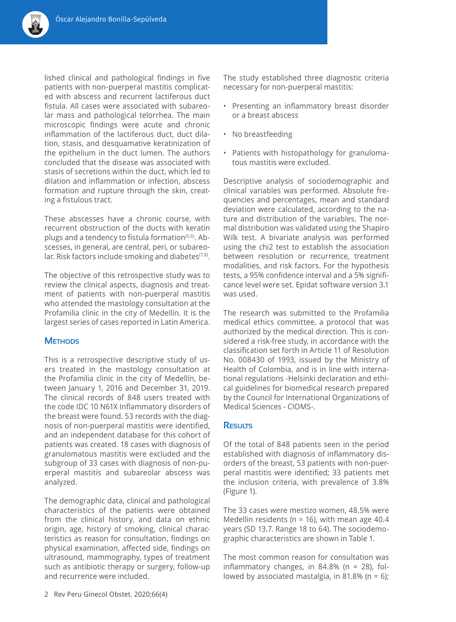

lished clinical and pathological findings in five patients with non-puerperal mastitis complicated with abscess and recurrent lactiferous duct fistula. All cases were associated with subareolar mass and pathological telorrhea. The main microscopic findings were acute and chronic inflammation of the lactiferous duct, duct dilation, stasis, and desquamative keratinization of the epithelium in the duct lumen. The authors concluded that the disease was associated with stasis of secretions within the duct, which led to dilation and inflammation or infection, abscess formation and rupture through the skin, creating a fistulous tract.

These abscesses have a chronic course, with recurrent obstruction of the ducts with keratin plugs and a tendency to fistula formation<sup>(5,6)</sup>. Abscesses, in general, are central, peri, or subareolar. Risk factors include smoking and diabetes $(7,8)$ .

The objective of this retrospective study was to review the clinical aspects, diagnosis and treatment of patients with non-puerperal mastitis who attended the mastology consultation at the Profamilia clinic in the city of Medellín. It is the largest series of cases reported in Latin America.

## **Methods**

This is a retrospective descriptive study of users treated in the mastology consultation at the Profamilia clinic in the city of Medellín, between January 1, 2016 and December 31, 2019. The clinical records of 848 users treated with the code IDC 10 N61X Inflammatory disorders of the breast were found. 53 records with the diagnosis of non-puerperal mastitis were identified, and an independent database for this cohort of patients was created. 18 cases with diagnosis of granulomatous mastitis were excluded and the subgroup of 33 cases with diagnosis of non-puerperal mastitis and subareolar abscess was analyzed.

The demographic data, clinical and pathological characteristics of the patients were obtained from the clinical history, and data on ethnic origin, age, history of smoking, clinical characteristics as reason for consultation, findings on physical examination, affected side, findings on ultrasound, mammography, types of treatment such as antibiotic therapy or surgery, follow-up and recurrence were included.

The study established three diagnostic criteria necessary for non-puerperal mastitis:

- Presenting an inflammatory breast disorder or a breast abscess
- No breastfeeding
- Patients with histopathology for granulomatous mastitis were excluded.

Descriptive analysis of sociodemographic and clinical variables was performed. Absolute frequencies and percentages, mean and standard deviation were calculated, according to the nature and distribution of the variables. The normal distribution was validated using the Shapiro Wilk test. A bivariate analysis was performed using the chi2 test to establish the association between resolution or recurrence, treatment modalities, and risk factors. For the hypothesis tests, a 95% confidence interval and a 5% significance level were set. Epidat software version 3.1 was used.

The research was submitted to the Profamilia medical ethics committee, a protocol that was authorized by the medical direction. This is considered a risk-free study, in accordance with the classification set forth in Article 11 of Resolution No. 008430 of 1993, issued by the Ministry of Health of Colombia, and is in line with international regulations -Helsinki declaration and ethical guidelines for biomedical research prepared by the Council for International Organizations of Medical Sciences - CIOMS-.

## **Results**

Of the total of 848 patients seen in the period established with diagnosis of inflammatory disorders of the breast, 53 patients with non-puerperal mastitis were identified; 33 patients met the inclusion criteria, with prevalence of 3.8% (Figure 1).

The 33 cases were mestizo women, 48.5% were Medellin residents ( $n = 16$ ), with mean age 40.4 years (SD 13.7. Range 18 to 64). The sociodemographic characteristics are shown in Table 1.

The most common reason for consultation was inflammatory changes, in  $84.8\%$  (n = 28), followed by associated mastalgia, in 81.8% ( $n = 6$ );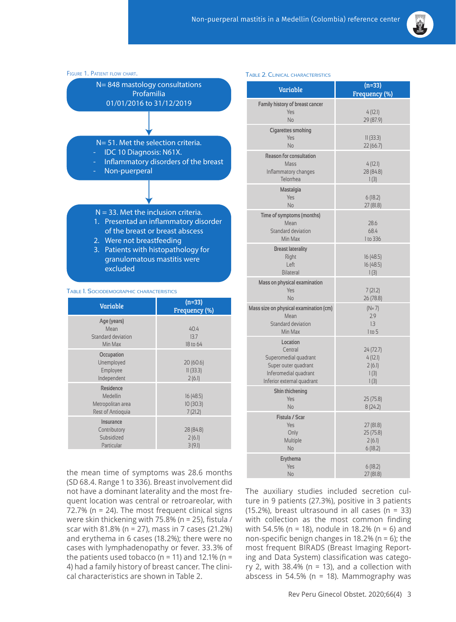



### Table 1. Sociodemographic characteristics

| Variable                                                        | $(n=33)$<br>Frequency (%)        |
|-----------------------------------------------------------------|----------------------------------|
| Age (years)<br>Mean<br>Standard deviation<br>Min Max            | 40.4<br>13.7<br>18 to 64         |
| Occupation<br>Unemployed<br>Employee<br>Independent             | 20 (60.6)<br>11(33.3)<br>2(6.1)  |
| Residence<br>Medellin<br>Metropolitan area<br>Rest of Antioquia | 16 (48.5)<br>10(30.3)<br>7(21.2) |
| Insurance<br>Contributory<br>Subsidized<br>Particular           | 28 (84.8)<br>2(6.1)<br>3(9.1)    |

the mean time of symptoms was 28.6 months (SD 68.4. Range 1 to 336). Breast involvement did not have a dominant laterality and the most frequent location was central or retroareolar, with 72.7% (n = 24). The most frequent clinical signs were skin thickening with 75.8% (n = 25), fistula / scar with 81.8% (n = 27), mass in 7 cases (21.2%) and erythema in 6 cases (18.2%); there were no cases with lymphadenopathy or fever. 33.3% of the patients used tobacco ( $n = 11$ ) and 12.1% ( $n =$ 4) had a family history of breast cancer. The clinical characteristics are shown in Table 2.

#### Table 2. Clinical characteristics

| Variable                                                                                                                    | $(n=33)$<br>Frequency (%)                      |
|-----------------------------------------------------------------------------------------------------------------------------|------------------------------------------------|
| <b>Family history of breast cancer</b><br>Yes<br>No                                                                         | 4(12.1)<br>29 (87.9)                           |
| <b>Cigarettes smoking</b><br>Yes<br><b>No</b>                                                                               | 11(33.3)<br>22 (66.7)                          |
| <b>Reason for consultation</b><br>Mass<br>Inflammatory changes<br>Telorrhea                                                 | 4(12.1)<br>28 (84.8)<br>1(3)                   |
| Mastalgia<br>Yes<br>No                                                                                                      | 6(18.2)<br>27 (81.8)                           |
| Time of symptoms (months)<br>Mean<br>Standard deviation<br>Min Max                                                          | 28.6<br>68.4<br>1 to 336                       |
| <b>Breast laterality</b><br>Right<br>Left<br><b>Bilateral</b>                                                               | 16(48.5)<br>16 (48.5)<br>1(3)                  |
| Mass on physical examination<br>Yes<br>No                                                                                   | 7(21.2)<br>26 (78.8)                           |
| Mass size on physical examination (cm)<br>Mean<br>Standard deviation<br>Min Max                                             | $(N=7)$<br>2.9<br>1.3<br>1 to 5                |
| Location<br>Central<br>Superomedial quadrant<br>Super outer quadrant<br>Inferomedial quadrant<br>Inferior external quadrant | 24 (72.7)<br>4(12.1)<br>2(6.1)<br>1(3)<br>1(3) |
| <b>Skin thickening</b><br>Yes<br>No                                                                                         | 25 (75.8)<br>8(24.2)                           |
| Fistula / Scar<br>Yes<br>Only<br>Multiple<br>No                                                                             | 27 (81.8)<br>25 (75.8)<br>2(6.1)<br>6(18.2)    |
| Erythema<br>Yes<br>No                                                                                                       | 6(18.2)<br>27 (81.8)                           |

The auxiliary studies included secretion culture in 9 patients (27.3%), positive in 3 patients (15.2%), breast ultrasound in all cases (n = 33) with collection as the most common finding with 54.5% (n = 18), nodule in 18.2% (n = 6) and non-specific benign changes in 18.2% ( $n = 6$ ); the most frequent BIRADS (Breast Imaging Reporting and Data System) classification was category 2, with  $38.4\%$  (n = 13), and a collection with abscess in 54.5% ( $n = 18$ ). Mammography was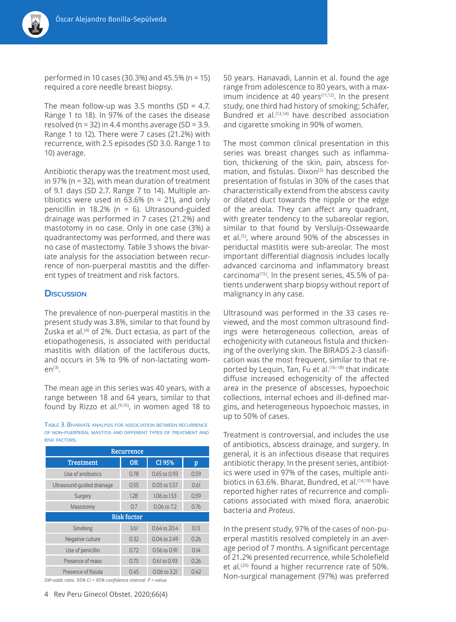performed in 10 cases (30.3%) and 45.5% (n = 15) required a core needle breast biopsy.

The mean follow-up was  $3.5$  months (SD = 4.7. Range 1 to 18). In 97% of the cases the disease resolved ( $n = 32$ ) in 4.4 months average ( $SD = 3.9$ . Range 1 to 12). There were 7 cases (21.2%) with recurrence, with 2.5 episodes (SD 3.0. Range 1 to 10) average.

Antibiotic therapy was the treatment most used, in 97% (n = 32), with mean duration of treatment of 9.1 days (SD 2.7. Range 7 to 14). Multiple antibiotics were used in  $63.6\%$  (n = 21), and only penicillin in 18.2% ( $n = 6$ ). Ultrasound-guided drainage was performed in 7 cases (21.2%) and mastotomy in no case. Only in one case (3%) a quadrantectomy was performed, and there was no case of mastectomy. Table 3 shows the bivariate analysis for the association between recurrence of non-puerperal mastitis and the different types of treatment and risk factors.

## **Discussion**

The prevalence of non-puerperal mastitis in the present study was 3.8%, similar to that found by Zuska et al.<sup>(4)</sup> of 2%. Duct ectasia, as part of the etiopathogenesis, is associated with periductal mastitis with dilation of the lactiferous ducts, and occurs in 5% to 9% of non-lactating wom $en<sup>(3)</sup>$ .

The mean age in this series was 40 years, with a range between 18 and 64 years, similar to that found by Rizzo et al.<sup>(9,10)</sup>, in women aged 18 to

Table 3. Bivariate analysis for association between recurrence of non-puerperal mastitis and different types of treatment and risk factors.

| Recurrence                 |           |              |      |  |
|----------------------------|-----------|--------------|------|--|
| <b>Treatment</b>           | <b>OR</b> | CI 95%       | p    |  |
| Use of antibiotics         | 0.78      | 0.65 to 0.93 | 0.59 |  |
| Ultrasound-quided drainage | 0.55      | 0.05 to 5.57 | 0.61 |  |
| Surgery                    | 1.28      | 1.06 to 1.53 | 0.59 |  |
| Mastotomy                  | 0.7       | 0.06 to 7.2  | 0.76 |  |
| <b>Risk factor</b>         |           |              |      |  |
| Smoking                    | 3.61      | 0.64 to 20.4 | 0.13 |  |
| Negative culture           | 0.32      | 0.04 to 2.49 | 0.26 |  |
| Use of penicillin          | 0.72      | 0.56 to 0.91 | 0.14 |  |
| Presence of mass           | 0.75      | 0.61 to 0.93 | 026  |  |
| Presence of fistula        | 0.45      | 0.06 to 3.21 | 0.42 |  |

*OR=odds ratio. 95% CI = 95% confidence interval. P = value.*

50 years. Hanavadi, Lannin et al. found the age range from adolescence to 80 years, with a maximum incidence at 40 years $(11,12)$ . In the present study, one third had history of smoking; Schäfer, Bundred et al.<sup>(13,14)</sup> have described association and cigarette smoking in 90% of women.

The most common clinical presentation in this series was breast changes such as inflammation, thickening of the skin, pain, abscess formation, and fistulas. Dixon<sup>(2)</sup> has described the presentation of fistulas in 30% of the cases that characteristically extend from the abscess cavity or dilated duct towards the nipple or the edge of the areola. They can affect any quadrant, with greater tendency to the subareolar region, similar to that found by Versluijs-Ossewaarde et al.(5), where around 90% of the abscesses in periductal mastitis were sub-areolar. The most important differential diagnosis includes locally advanced carcinoma and inflammatory breast carcinoma(15). In the present series, 45.5% of patients underwent sharp biopsy without report of malignancy in any case.

Ultrasound was performed in the 33 cases reviewed, and the most common ultrasound findings were heterogeneous collection, areas of echogenicity with cutaneous fistula and thickening of the overlying skin. The BIRADS 2-3 classification was the most frequent, similar to that reported by Lequin, Tan, Fu et al.(16–18) that indicate diffuse increased echogenicity of the affected area in the presence of abscesses, hypoechoic collections, internal echoes and ill-defined margins, and heterogeneous hypoechoic masses, in up to 50% of cases.

Treatment is controversial, and includes the use of antibiotics, abscess drainage, and surgery. In general, it is an infectious disease that requires antibiotic therapy. In the present series, antibiotics were used in 97% of the cases, multiple antibiotics in 63.6%. Bharat, Bundred, et al.<sup>(14,19)</sup> have reported higher rates of recurrence and complications associated with mixed flora, anaerobic bacteria and *Proteus*.

In the present study, 97% of the cases of non-puerperal mastitis resolved completely in an average period of 7 months. A significant percentage of 21.2% presented recurrence, while Scholefield et al.(20) found a higher recurrence rate of 50%. Non-surgical management (97%) was preferred